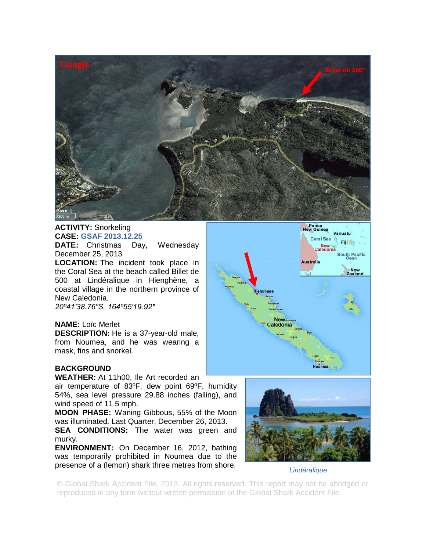

## **ACTIVITY:** Snorkeling **CASE: GSAF 2013.12.25**

**DATE:** Christmas Day, Wednesday December 25, 2013

**LOCATION:** The incident took place in the Coral Sea at the beach called Billet de 500 at Lindéralique in Hienghène, a coastal village in the northern province of New Caledonia.

*20º41′38.76″S, 164º55′19.92″* 

## **NAME:** Loïc Merlet

**DESCRIPTION:** He is a 37-year-old male, from Noumea, and he was wearing a mask, fins and snorkel.

## **BACKGROUND**

**WEATHER:** At 11h00, Ile Art recorded an

air temperature of 83ºF, dew point 69ºF, humidity 54%, sea level pressure 29.88 inches (falling), and wind speed of 11.5 mph.

**MOON PHASE:** Waning Gibbous, 55% of the Moon was illuminated. Last Quarter, December 26, 2013.

**SEA CONDITIONS:** The water was green and murky.

**ENVIRONMENT:** On December 16, 2012, bathing was temporarily prohibited in Noumea due to the presence of a (lemon) shark three metres from shore.





*Lindéralique*

© Global Shark Accident File, 2013. All rights reserved. This report may not be abridged or reproduced in any form without written permission of the Global Shark Accident File.